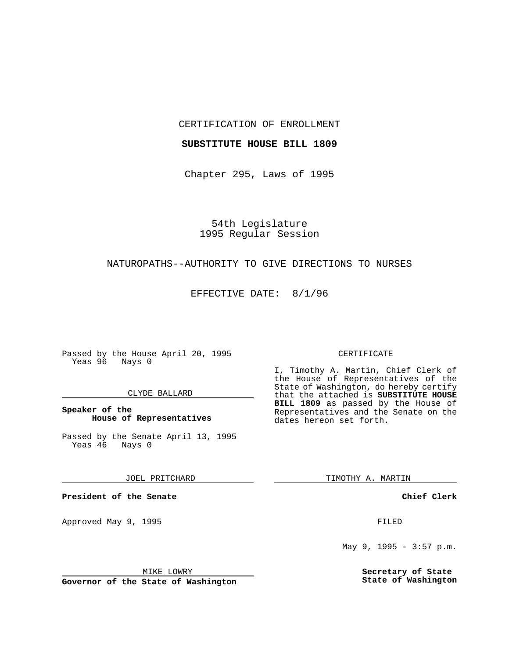### CERTIFICATION OF ENROLLMENT

## **SUBSTITUTE HOUSE BILL 1809**

Chapter 295, Laws of 1995

54th Legislature 1995 Regular Session

## NATUROPATHS--AUTHORITY TO GIVE DIRECTIONS TO NURSES

EFFECTIVE DATE: 8/1/96

Passed by the House April 20, 1995 Yeas 96 Nays 0

#### CLYDE BALLARD

## **Speaker of the House of Representatives**

Passed by the Senate April 13, 1995<br>Yeas 46 Nays 0 Yeas 46

JOEL PRITCHARD

**President of the Senate**

Approved May 9, 1995 **FILED** 

MIKE LOWRY

**Governor of the State of Washington**

#### CERTIFICATE

I, Timothy A. Martin, Chief Clerk of the House of Representatives of the State of Washington, do hereby certify that the attached is **SUBSTITUTE HOUSE BILL 1809** as passed by the House of Representatives and the Senate on the dates hereon set forth.

TIMOTHY A. MARTIN

**Chief Clerk**

May 9, 1995 - 3:57 p.m.

**Secretary of State State of Washington**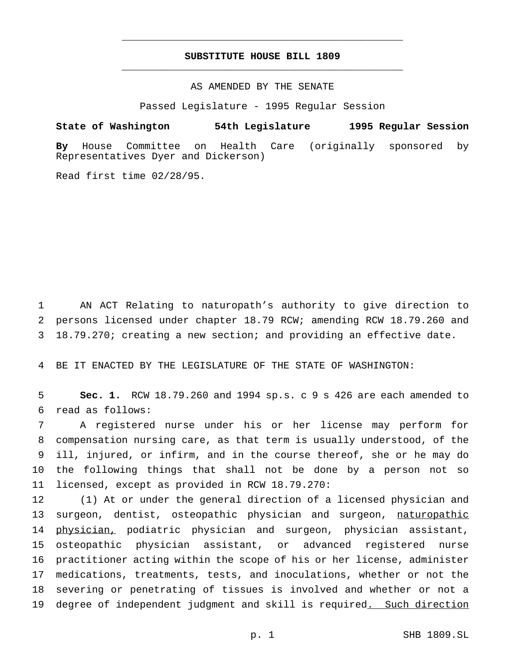# **SUBSTITUTE HOUSE BILL 1809** \_\_\_\_\_\_\_\_\_\_\_\_\_\_\_\_\_\_\_\_\_\_\_\_\_\_\_\_\_\_\_\_\_\_\_\_\_\_\_\_\_\_\_\_\_\_\_

\_\_\_\_\_\_\_\_\_\_\_\_\_\_\_\_\_\_\_\_\_\_\_\_\_\_\_\_\_\_\_\_\_\_\_\_\_\_\_\_\_\_\_\_\_\_\_

AS AMENDED BY THE SENATE

Passed Legislature - 1995 Regular Session

**State of Washington 54th Legislature 1995 Regular Session**

**By** House Committee on Health Care (originally sponsored by Representatives Dyer and Dickerson)

Read first time 02/28/95.

1 AN ACT Relating to naturopath's authority to give direction to 2 persons licensed under chapter 18.79 RCW; amending RCW 18.79.260 and 3 18.79.270; creating a new section; and providing an effective date.

4 BE IT ENACTED BY THE LEGISLATURE OF THE STATE OF WASHINGTON:

5 **Sec. 1.** RCW 18.79.260 and 1994 sp.s. c 9 s 426 are each amended to 6 read as follows:

 A registered nurse under his or her license may perform for compensation nursing care, as that term is usually understood, of the ill, injured, or infirm, and in the course thereof, she or he may do the following things that shall not be done by a person not so licensed, except as provided in RCW 18.79.270:

 (1) At or under the general direction of a licensed physician and 13 surgeon, dentist, osteopathic physician and surgeon, naturopathic 14 physician, podiatric physician and surgeon, physician assistant, osteopathic physician assistant, or advanced registered nurse practitioner acting within the scope of his or her license, administer medications, treatments, tests, and inoculations, whether or not the severing or penetrating of tissues is involved and whether or not a 19 degree of independent judgment and skill is required. Such direction